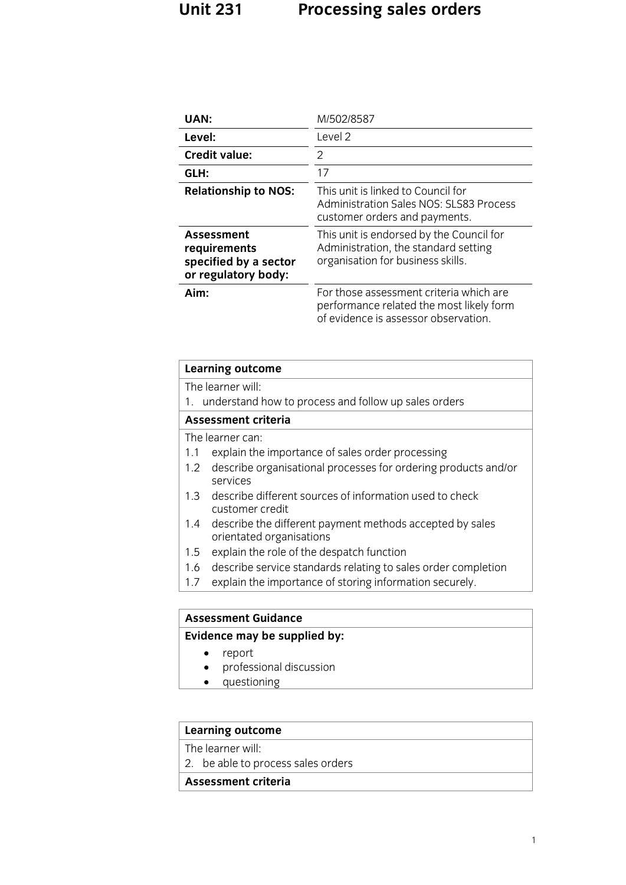## **Unit 231 Processing sales orders**

| UAN:                                                                       | M/502/8587                                                                                                                  |
|----------------------------------------------------------------------------|-----------------------------------------------------------------------------------------------------------------------------|
| Level:                                                                     | Level 2                                                                                                                     |
| <b>Credit value:</b>                                                       | 2                                                                                                                           |
| GLH:                                                                       | 17                                                                                                                          |
| <b>Relationship to NOS:</b>                                                | This unit is linked to Council for<br><b>Administration Sales NOS: SLS83 Process</b><br>customer orders and payments.       |
| Assessment<br>requirements<br>specified by a sector<br>or regulatory body: | This unit is endorsed by the Council for<br>Administration, the standard setting<br>organisation for business skills.       |
| Aim:                                                                       | For those assessment criteria which are<br>performance related the most likely form<br>of evidence is assessor observation. |

#### **Evidence may be supplied by:**

- 
- **Evidence** may be supplied by: professional discussion
	- questioning

# **Learning outcome**<br>The learner will:

2. be able to process sales orders  $\overline{a}$  be able to process sales orders sales orders orders orders orders orders orders orders orders orders orders orders orders orders orders orders orders orders orders orders orders orders orders orders orders orders

### **Assessment criteria**